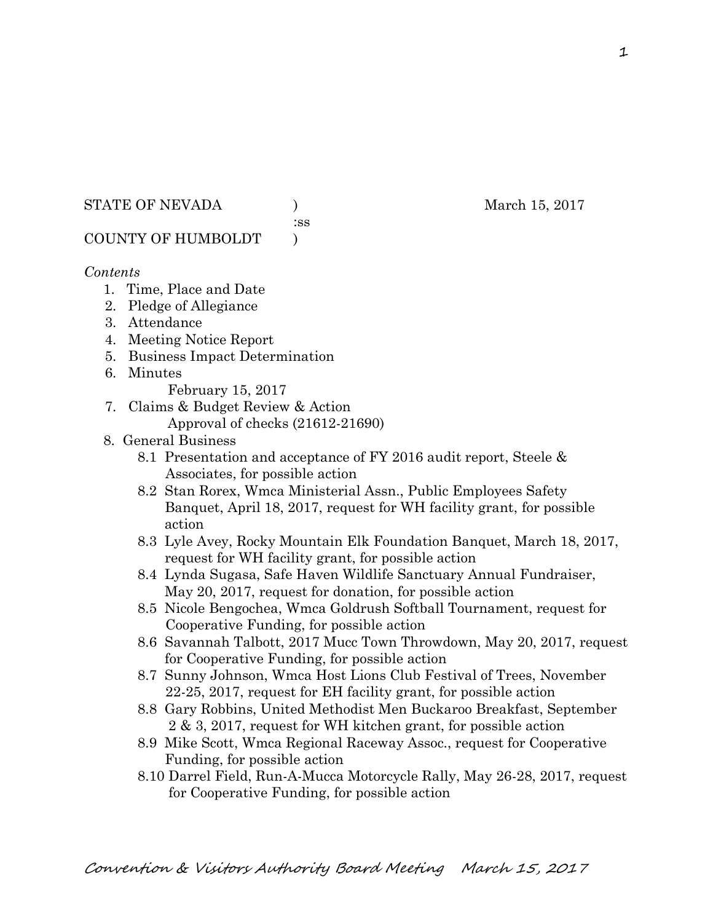#### STATE OF NEVADA (a) and the March 15, 2017

:ss

# COUNTY OF HUMBOLDT )

# *Contents*

- 1. Time, Place and Date
- 2. Pledge of Allegiance
- 3. Attendance
- 4. Meeting Notice Report
- 5. Business Impact Determination
- 6. Minutes
	- February 15, 2017
- 7. Claims & Budget Review & Action Approval of checks (21612-21690)
	-
- 8. General Business
	- 8.1 Presentation and acceptance of FY 2016 audit report, Steele & Associates, for possible action
	- 8.2 Stan Rorex, Wmca Ministerial Assn., Public Employees Safety Banquet, April 18, 2017, request for WH facility grant, for possible action
	- 8.3 Lyle Avey, Rocky Mountain Elk Foundation Banquet, March 18, 2017, request for WH facility grant, for possible action
	- 8.4 Lynda Sugasa, Safe Haven Wildlife Sanctuary Annual Fundraiser, May 20, 2017, request for donation, for possible action
	- 8.5 Nicole Bengochea, Wmca Goldrush Softball Tournament, request for Cooperative Funding, for possible action
	- 8.6 Savannah Talbott, 2017 Mucc Town Throwdown, May 20, 2017, request for Cooperative Funding, for possible action
	- 8.7 Sunny Johnson, Wmca Host Lions Club Festival of Trees, November 22-25, 2017, request for EH facility grant, for possible action
	- 8.8 Gary Robbins, United Methodist Men Buckaroo Breakfast, September 2 & 3, 2017, request for WH kitchen grant, for possible action
	- 8.9 Mike Scott, Wmca Regional Raceway Assoc., request for Cooperative Funding, for possible action
	- 8.10 Darrel Field, Run-A-Mucca Motorcycle Rally, May 26-28, 2017, request for Cooperative Funding, for possible action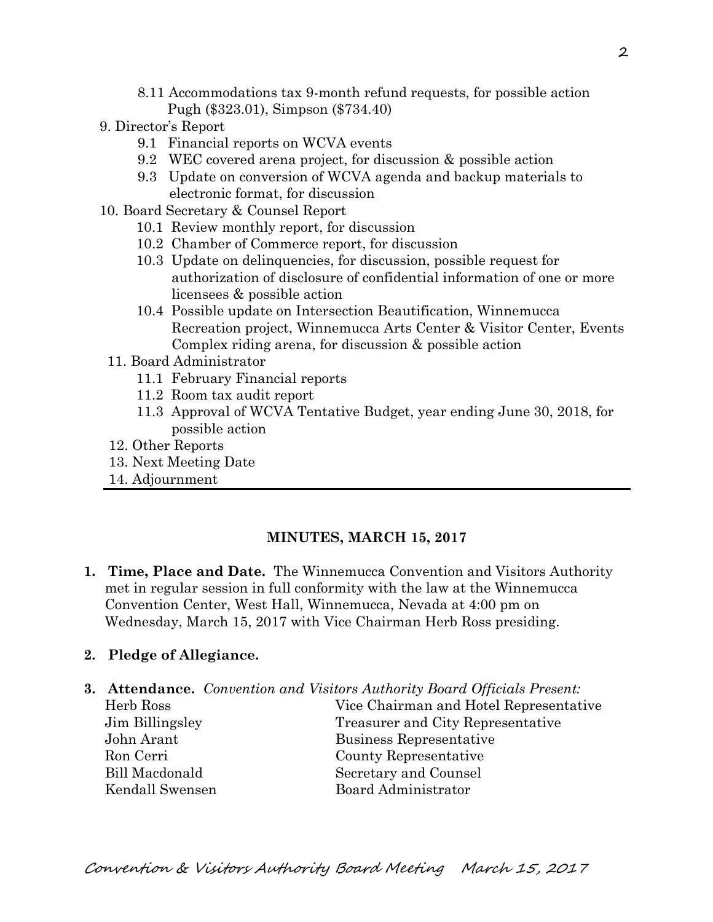- 8.11 Accommodations tax 9-month refund requests, for possible action Pugh (\$323.01), Simpson (\$734.40)
- 9. Director's Report
	- 9.1 Financial reports on WCVA events
	- 9.2 WEC covered arena project, for discussion & possible action
	- 9.3 Update on conversion of WCVA agenda and backup materials to electronic format, for discussion
- 10. Board Secretary & Counsel Report
	- 10.1 Review monthly report, for discussion
	- 10.2 Chamber of Commerce report, for discussion
	- 10.3 Update on delinquencies, for discussion, possible request for authorization of disclosure of confidential information of one or more licensees & possible action
	- 10.4 Possible update on Intersection Beautification, Winnemucca Recreation project, Winnemucca Arts Center & Visitor Center, Events Complex riding arena, for discussion & possible action
	- 11. Board Administrator
		- 11.1 February Financial reports
		- 11.2 Room tax audit report
		- 11.3 Approval of WCVA Tentative Budget, year ending June 30, 2018, for possible action
	- 12. Other Reports
	- 13. Next Meeting Date
	- 14. Adjournment

### **MINUTES, MARCH 15, 2017**

**1. Time, Place and Date.** The Winnemucca Convention and Visitors Authority met in regular session in full conformity with the law at the Winnemucca Convention Center, West Hall, Winnemucca, Nevada at 4:00 pm on Wednesday, March 15, 2017 with Vice Chairman Herb Ross presiding.

### **2. Pledge of Allegiance.**

- **3. Attendance.** *Convention and Visitors Authority Board Officials Present:* 
	- Herb Ross Vice Chairman and Hotel Representative Jim Billingsley Treasurer and City Representative John Arant Business Representative Ron Cerri County Representative Bill Macdonald Secretary and Counsel Kendall Swensen Board Administrator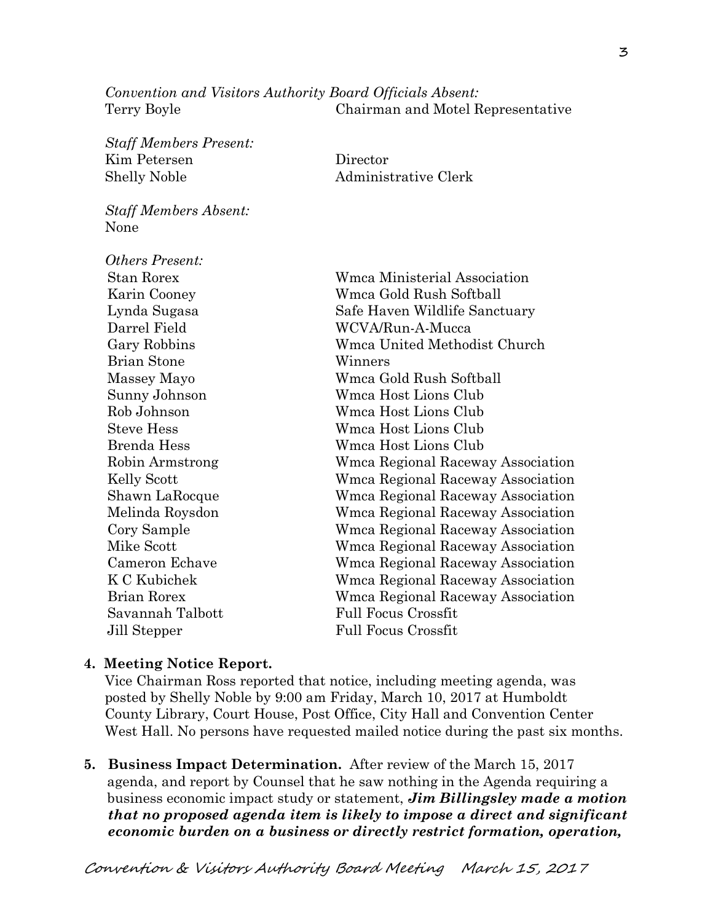*Convention and Visitors Authority Board Officials Absent:*  Terry Boyle Chairman and Motel Representative

*Staff Members Present:*  Kim Petersen Director Shelly Noble Administrative Clerk

*Staff Members Absent:*  None

| <i><b>Others Present:</b></i> |                  |                                   |  |
|-------------------------------|------------------|-----------------------------------|--|
| <b>Stan Rorex</b>             |                  | Wmca Ministerial Association      |  |
| Karin Cooney                  |                  | Wmca Gold Rush Softball           |  |
| Lynda Sugasa                  |                  | Safe Haven Wildlife Sanctuary     |  |
| Darrel Field                  |                  | WCVA/Run-A-Mucca                  |  |
| Gary Robbins                  |                  | Wmca United Methodist Church      |  |
| <b>Brian Stone</b>            |                  | Winners                           |  |
| Massey Mayo                   |                  | Wmca Gold Rush Softball           |  |
|                               | Sunny Johnson    | Wmca Host Lions Club              |  |
| Rob Johnson                   |                  | Wmca Host Lions Club              |  |
| <b>Steve Hess</b>             |                  | Wmca Host Lions Club              |  |
| Brenda Hess                   |                  | Wmca Host Lions Club              |  |
|                               | Robin Armstrong  | Wmca Regional Raceway Association |  |
| Kelly Scott                   |                  | Wmca Regional Raceway Association |  |
|                               | Shawn LaRocque   | Wmca Regional Raceway Association |  |
|                               | Melinda Roysdon  | Wmca Regional Raceway Association |  |
| Cory Sample                   |                  | Wmca Regional Raceway Association |  |
| Mike Scott                    |                  | Wmca Regional Raceway Association |  |
|                               | Cameron Echave   | Wmca Regional Raceway Association |  |
| K C Kubichek                  |                  | Wmca Regional Raceway Association |  |
| <b>Brian Rorex</b>            |                  | Wmca Regional Raceway Association |  |
|                               | Savannah Talbott | <b>Full Focus Crossfit</b>        |  |
| Jill Stepper                  |                  | <b>Full Focus Crossfit</b>        |  |

#### **4. Meeting Notice Report.**

Vice Chairman Ross reported that notice, including meeting agenda, was posted by Shelly Noble by 9:00 am Friday, March 10, 2017 at Humboldt County Library, Court House, Post Office, City Hall and Convention Center West Hall. No persons have requested mailed notice during the past six months.

**5. Business Impact Determination.** After review of the March 15, 2017 agenda, and report by Counsel that he saw nothing in the Agenda requiring a business economic impact study or statement, *Jim Billingsley made a motion that no proposed agenda item is likely to impose a direct and significant economic burden on a business or directly restrict formation, operation,*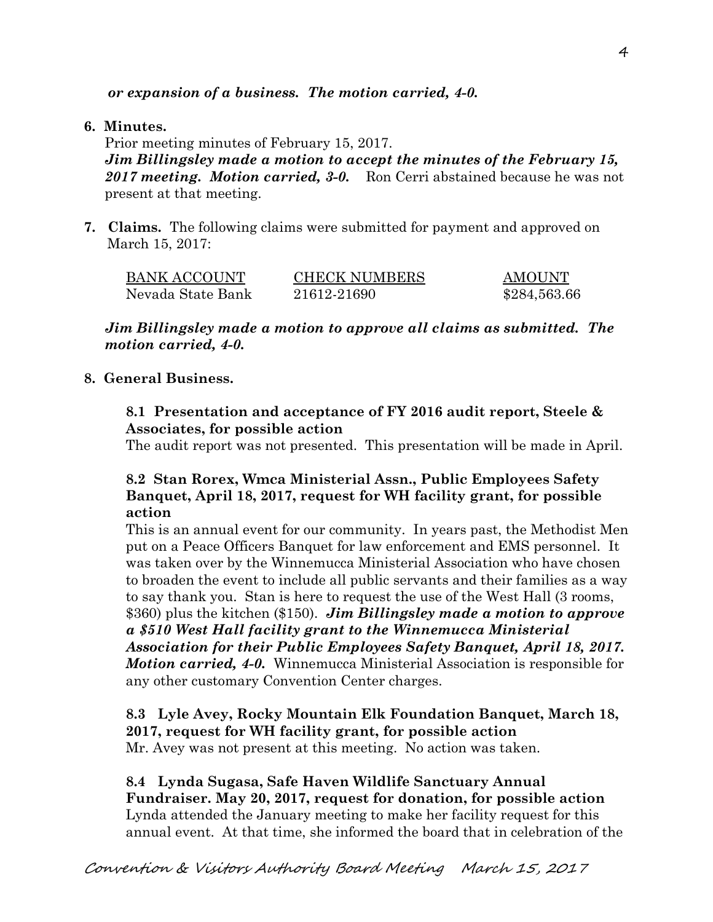*or expansion of a business. The motion carried, 4-0.* 

# **6. Minutes.**

Prior meeting minutes of February 15, 2017.

*Jim Billingsley made a motion to accept the minutes of the February 15, 2017 meeting. Motion carried, 3-0.* Ron Cerri abstained because he was not present at that meeting.

**7. Claims.** The following claims were submitted for payment and approved on March 15, 2017:

| <b>BANK ACCOUNT</b> | <b>CHECK NUMBERS</b> | <b>AMOUNT</b> |
|---------------------|----------------------|---------------|
| Nevada State Bank   | 21612-21690          | \$284,563.66  |

*Jim Billingsley made a motion to approve all claims as submitted. The motion carried, 4-0.* 

# **8. General Business.**

# **8.1 Presentation and acceptance of FY 2016 audit report, Steele & Associates, for possible action**

The audit report was not presented. This presentation will be made in April.

# **8.2 Stan Rorex, Wmca Ministerial Assn., Public Employees Safety Banquet, April 18, 2017, request for WH facility grant, for possible action**

This is an annual event for our community. In years past, the Methodist Men put on a Peace Officers Banquet for law enforcement and EMS personnel. It was taken over by the Winnemucca Ministerial Association who have chosen to broaden the event to include all public servants and their families as a way to say thank you. Stan is here to request the use of the West Hall (3 rooms, \$360) plus the kitchen (\$150). *Jim Billingsley made a motion to approve a \$510 West Hall facility grant to the Winnemucca Ministerial Association for their Public Employees Safety Banquet, April 18, 2017. Motion carried, 4-0.* Winnemucca Ministerial Association is responsible for any other customary Convention Center charges.

**8.3 Lyle Avey, Rocky Mountain Elk Foundation Banquet, March 18, 2017, request for WH facility grant, for possible action**  Mr. Avey was not present at this meeting. No action was taken.

**8.4 Lynda Sugasa, Safe Haven Wildlife Sanctuary Annual Fundraiser. May 20, 2017, request for donation, for possible action**  Lynda attended the January meeting to make her facility request for this annual event. At that time, she informed the board that in celebration of the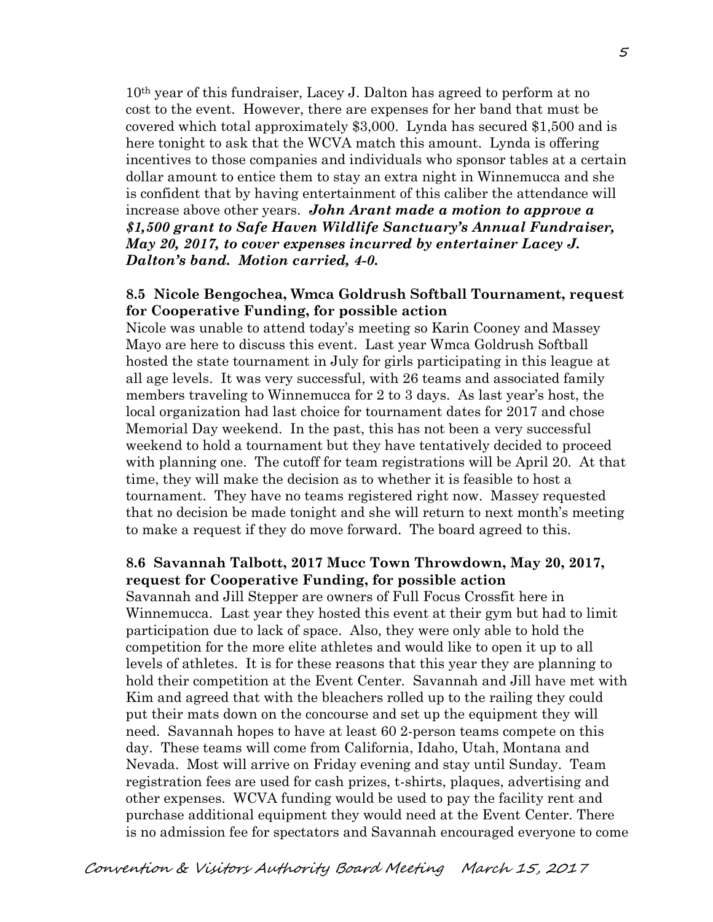10th year of this fundraiser, Lacey J. Dalton has agreed to perform at no cost to the event. However, there are expenses for her band that must be covered which total approximately \$3,000. Lynda has secured \$1,500 and is here tonight to ask that the WCVA match this amount. Lynda is offering incentives to those companies and individuals who sponsor tables at a certain dollar amount to entice them to stay an extra night in Winnemucca and she is confident that by having entertainment of this caliber the attendance will increase above other years. *John Arant made a motion to approve a \$1,500 grant to Safe Haven Wildlife Sanctuary's Annual Fundraiser, May 20, 2017, to cover expenses incurred by entertainer Lacey J. Dalton's band. Motion carried, 4-0.* 

### **8.5 Nicole Bengochea, Wmca Goldrush Softball Tournament, request for Cooperative Funding, for possible action**

Nicole was unable to attend today's meeting so Karin Cooney and Massey Mayo are here to discuss this event. Last year Wmca Goldrush Softball hosted the state tournament in July for girls participating in this league at all age levels. It was very successful, with 26 teams and associated family members traveling to Winnemucca for 2 to 3 days. As last year's host, the local organization had last choice for tournament dates for 2017 and chose Memorial Day weekend. In the past, this has not been a very successful weekend to hold a tournament but they have tentatively decided to proceed with planning one. The cutoff for team registrations will be April 20. At that time, they will make the decision as to whether it is feasible to host a tournament. They have no teams registered right now. Massey requested that no decision be made tonight and she will return to next month's meeting to make a request if they do move forward. The board agreed to this.

### **8.6 Savannah Talbott, 2017 Mucc Town Throwdown, May 20, 2017, request for Cooperative Funding, for possible action**

Savannah and Jill Stepper are owners of Full Focus Crossfit here in Winnemucca. Last year they hosted this event at their gym but had to limit participation due to lack of space. Also, they were only able to hold the competition for the more elite athletes and would like to open it up to all levels of athletes. It is for these reasons that this year they are planning to hold their competition at the Event Center. Savannah and Jill have met with Kim and agreed that with the bleachers rolled up to the railing they could put their mats down on the concourse and set up the equipment they will need. Savannah hopes to have at least 60 2-person teams compete on this day. These teams will come from California, Idaho, Utah, Montana and Nevada. Most will arrive on Friday evening and stay until Sunday. Team registration fees are used for cash prizes, t-shirts, plaques, advertising and other expenses. WCVA funding would be used to pay the facility rent and purchase additional equipment they would need at the Event Center. There is no admission fee for spectators and Savannah encouraged everyone to come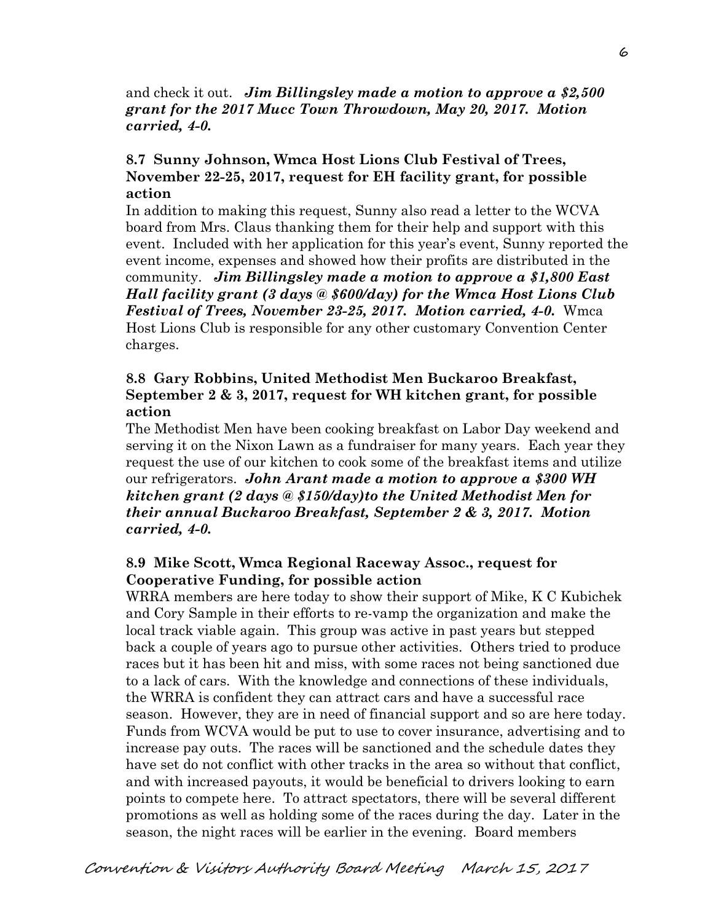and check it out. *Jim Billingsley made a motion to approve a \$2,500 grant for the 2017 Mucc Town Throwdown, May 20, 2017. Motion carried, 4-0.* 

### **8.7 Sunny Johnson, Wmca Host Lions Club Festival of Trees, November 22-25, 2017, request for EH facility grant, for possible action**

In addition to making this request, Sunny also read a letter to the WCVA board from Mrs. Claus thanking them for their help and support with this event. Included with her application for this year's event, Sunny reported the event income, expenses and showed how their profits are distributed in the community. *Jim Billingsley made a motion to approve a \$1,800 East Hall facility grant (3 days @ \$600/day) for the Wmca Host Lions Club Festival of Trees, November 23-25, 2017. Motion carried, 4-0.* Wmca Host Lions Club is responsible for any other customary Convention Center charges.

### **8.8 Gary Robbins, United Methodist Men Buckaroo Breakfast, September 2 & 3, 2017, request for WH kitchen grant, for possible action**

The Methodist Men have been cooking breakfast on Labor Day weekend and serving it on the Nixon Lawn as a fundraiser for many years. Each year they request the use of our kitchen to cook some of the breakfast items and utilize our refrigerators. *John Arant made a motion to approve a \$300 WH kitchen grant (2 days @ \$150/day)to the United Methodist Men for their annual Buckaroo Breakfast, September 2 & 3, 2017. Motion carried, 4-0.* 

### **8.9 Mike Scott, Wmca Regional Raceway Assoc., request for Cooperative Funding, for possible action**

WRRA members are here today to show their support of Mike, K C Kubichek and Cory Sample in their efforts to re-vamp the organization and make the local track viable again. This group was active in past years but stepped back a couple of years ago to pursue other activities. Others tried to produce races but it has been hit and miss, with some races not being sanctioned due to a lack of cars. With the knowledge and connections of these individuals, the WRRA is confident they can attract cars and have a successful race season. However, they are in need of financial support and so are here today. Funds from WCVA would be put to use to cover insurance, advertising and to increase pay outs. The races will be sanctioned and the schedule dates they have set do not conflict with other tracks in the area so without that conflict, and with increased payouts, it would be beneficial to drivers looking to earn points to compete here. To attract spectators, there will be several different promotions as well as holding some of the races during the day. Later in the season, the night races will be earlier in the evening. Board members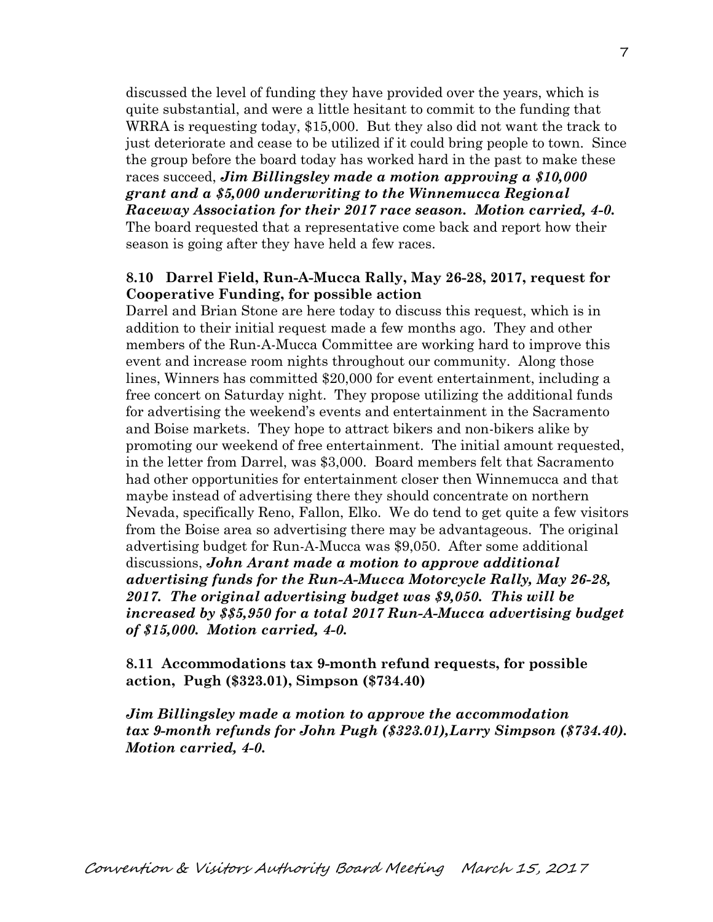discussed the level of funding they have provided over the years, which is quite substantial, and were a little hesitant to commit to the funding that WRRA is requesting today, \$15,000. But they also did not want the track to just deteriorate and cease to be utilized if it could bring people to town. Since the group before the board today has worked hard in the past to make these races succeed, *Jim Billingsley made a motion approving a \$10,000 grant and a \$5,000 underwriting to the Winnemucca Regional Raceway Association for their 2017 race season. Motion carried, 4-0.*  The board requested that a representative come back and report how their season is going after they have held a few races.

### **8.10 Darrel Field, Run-A-Mucca Rally, May 26-28, 2017, request for Cooperative Funding, for possible action**

Darrel and Brian Stone are here today to discuss this request, which is in addition to their initial request made a few months ago. They and other members of the Run-A-Mucca Committee are working hard to improve this event and increase room nights throughout our community. Along those lines, Winners has committed \$20,000 for event entertainment, including a free concert on Saturday night. They propose utilizing the additional funds for advertising the weekend's events and entertainment in the Sacramento and Boise markets. They hope to attract bikers and non-bikers alike by promoting our weekend of free entertainment. The initial amount requested, in the letter from Darrel, was \$3,000. Board members felt that Sacramento had other opportunities for entertainment closer then Winnemucca and that maybe instead of advertising there they should concentrate on northern Nevada, specifically Reno, Fallon, Elko. We do tend to get quite a few visitors from the Boise area so advertising there may be advantageous. The original advertising budget for Run-A-Mucca was \$9,050. After some additional discussions, *John Arant made a motion to approve additional advertising funds for the Run-A-Mucca Motorcycle Rally, May 26-28, 2017. The original advertising budget was \$9,050. This will be increased by \$\$5,950 for a total 2017 Run-A-Mucca advertising budget of \$15,000. Motion carried, 4-0.* 

**8.11 Accommodations tax 9-month refund requests, for possible action, Pugh (\$323.01), Simpson (\$734.40)** 

*Jim Billingsley made a motion to approve the accommodation tax 9-month refunds for John Pugh (\$323.01),Larry Simpson (\$734.40). Motion carried, 4-0.*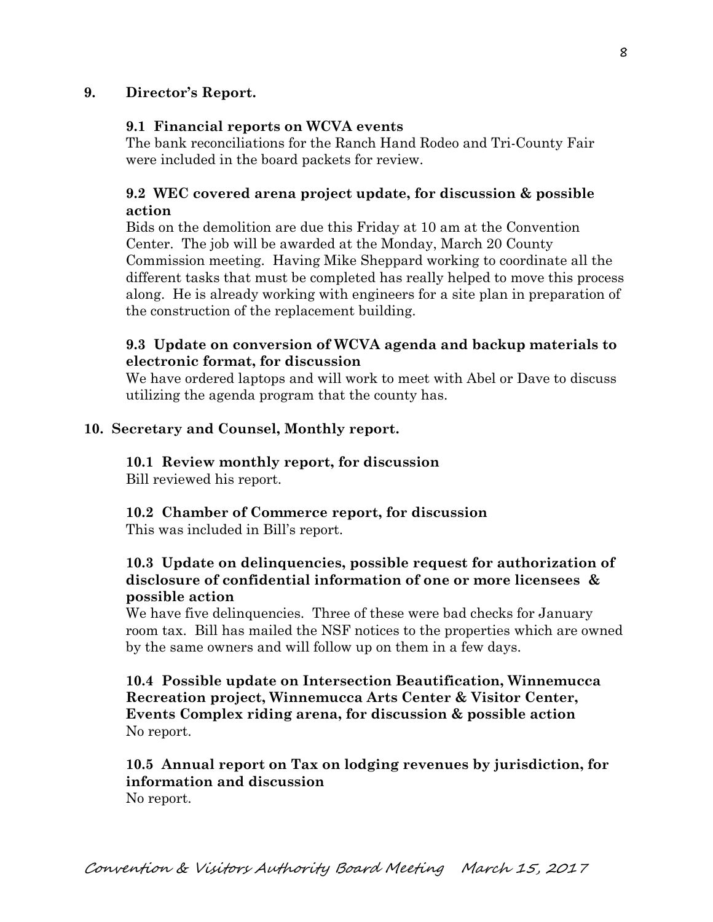# **9. Director's Report.**

### **9.1 Financial reports on WCVA events**

The bank reconciliations for the Ranch Hand Rodeo and Tri-County Fair were included in the board packets for review.

# **9.2 WEC covered arena project update, for discussion & possible action**

Bids on the demolition are due this Friday at 10 am at the Convention Center. The job will be awarded at the Monday, March 20 County Commission meeting. Having Mike Sheppard working to coordinate all the different tasks that must be completed has really helped to move this process along. He is already working with engineers for a site plan in preparation of the construction of the replacement building.

# **9.3 Update on conversion of WCVA agenda and backup materials to electronic format, for discussion**

We have ordered laptops and will work to meet with Abel or Dave to discuss utilizing the agenda program that the county has.

### **10. Secretary and Counsel, Monthly report.**

**10.1 Review monthly report, for discussion**  Bill reviewed his report.

#### **10.2 Chamber of Commerce report, for discussion**  This was included in Bill's report.

# **10.3 Update on delinquencies, possible request for authorization of disclosure of confidential information of one or more licensees & possible action**

We have five delinquencies. Three of these were bad checks for January room tax. Bill has mailed the NSF notices to the properties which are owned by the same owners and will follow up on them in a few days.

**10.4 Possible update on Intersection Beautification, Winnemucca Recreation project, Winnemucca Arts Center & Visitor Center, Events Complex riding arena, for discussion & possible action**  No report.

### **10.5 Annual report on Tax on lodging revenues by jurisdiction, for information and discussion**  No report.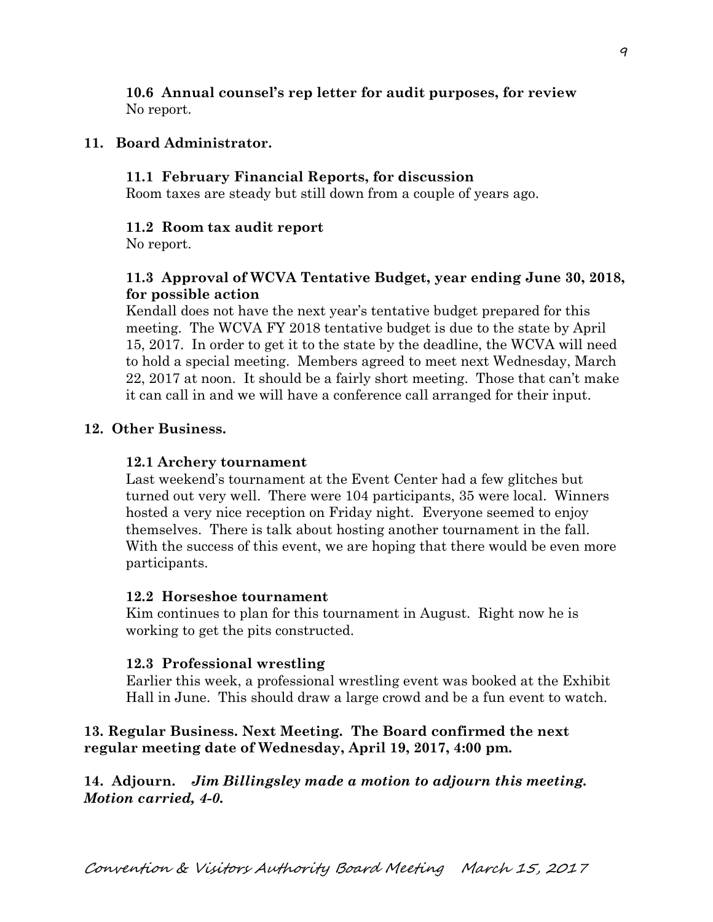### **10.6 Annual counsel's rep letter for audit purposes, for review** No report.

### **11. Board Administrator.**

#### **11.1 February Financial Reports, for discussion**

Room taxes are steady but still down from a couple of years ago.

#### **11.2 Room tax audit report**

No report.

# **11.3 Approval of WCVA Tentative Budget, year ending June 30, 2018, for possible action**

Kendall does not have the next year's tentative budget prepared for this meeting. The WCVA FY 2018 tentative budget is due to the state by April 15, 2017. In order to get it to the state by the deadline, the WCVA will need to hold a special meeting. Members agreed to meet next Wednesday, March 22, 2017 at noon. It should be a fairly short meeting. Those that can't make it can call in and we will have a conference call arranged for their input.

### **12. Other Business.**

#### **12.1 Archery tournament**

Last weekend's tournament at the Event Center had a few glitches but turned out very well. There were 104 participants, 35 were local. Winners hosted a very nice reception on Friday night. Everyone seemed to enjoy themselves. There is talk about hosting another tournament in the fall. With the success of this event, we are hoping that there would be even more participants.

#### **12.2 Horseshoe tournament**

Kim continues to plan for this tournament in August. Right now he is working to get the pits constructed.

#### **12.3 Professional wrestling**

Earlier this week, a professional wrestling event was booked at the Exhibit Hall in June. This should draw a large crowd and be a fun event to watch.

### **13. Regular Business. Next Meeting. The Board confirmed the next regular meeting date of Wednesday, April 19, 2017, 4:00 pm.**

**14. Adjourn.** *Jim Billingsley made a motion to adjourn this meeting. Motion carried, 4-0.*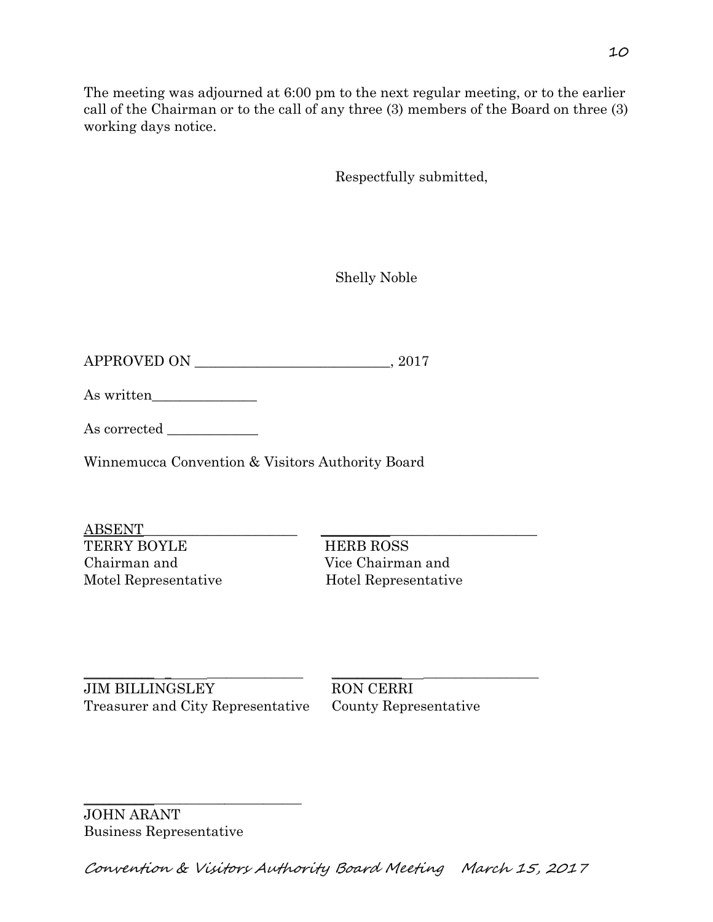The meeting was adjourned at 6:00 pm to the next regular meeting, or to the earlier call of the Chairman or to the call of any three (3) members of the Board on three (3) working days notice.

Respectfully submitted,

Shelly Noble

 $APPROVED ON$   $.2017$ 

As written

As corrected \_\_\_\_\_\_\_\_\_\_\_\_\_

Winnemucca Convention & Visitors Authority Board

ABSENT\_\_\_\_\_\_\_\_\_\_\_\_\_\_\_\_\_\_\_\_\_\_ \_\_\_\_\_\_\_\_\_\_\_\_\_\_\_\_\_\_\_\_\_\_\_\_\_\_\_\_\_\_\_ TERRY BOYLE HERB ROSS Chairman and Vice Chairman and Motel Representative Hotel Representative

\_\_\_\_\_\_\_\_\_\_\_ \_ \_\_\_\_\_\_\_\_\_\_\_\_\_\_\_ \_\_\_\_\_\_\_\_\_\_\_ \_\_\_\_\_\_\_\_\_\_\_\_\_\_\_\_\_\_ JIM BILLINGSLEY RON CERRI Treasurer and City Representative County Representative

\_\_\_\_\_\_\_\_\_\_\_\_\_\_\_\_\_\_\_\_\_\_\_\_\_\_\_\_\_\_\_\_\_\_

JOHN ARANT Business Representative